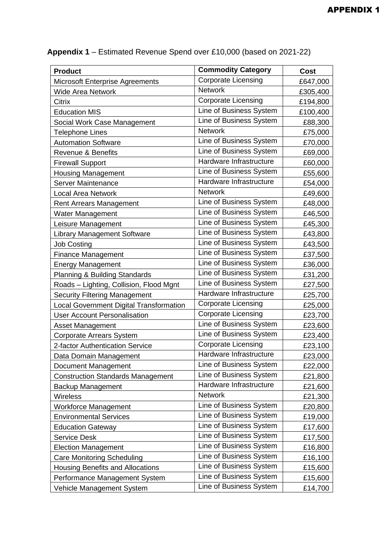| <b>Product</b>                                 | <b>Commodity Category</b>  | Cost     |
|------------------------------------------------|----------------------------|----------|
| <b>Microsoft Enterprise Agreements</b>         | <b>Corporate Licensing</b> | £647,000 |
| <b>Wide Area Network</b>                       | <b>Network</b>             | £305,400 |
| Citrix                                         | <b>Corporate Licensing</b> | £194,800 |
| <b>Education MIS</b>                           | Line of Business System    | £100,400 |
| Social Work Case Management                    | Line of Business System    | £88,300  |
| <b>Telephone Lines</b>                         | <b>Network</b>             | £75,000  |
| <b>Automation Software</b>                     | Line of Business System    | £70,000  |
| <b>Revenue &amp; Benefits</b>                  | Line of Business System    | £69,000  |
| <b>Firewall Support</b>                        | Hardware Infrastructure    | £60,000  |
| <b>Housing Management</b>                      | Line of Business System    | £55,600  |
| <b>Server Maintenance</b>                      | Hardware Infrastructure    | £54,000  |
| <b>Local Area Network</b>                      | <b>Network</b>             | £49,600  |
| <b>Rent Arrears Management</b>                 | Line of Business System    | £48,000  |
| <b>Water Management</b>                        | Line of Business System    | £46,500  |
| Leisure Management                             | Line of Business System    | £45,300  |
| <b>Library Management Software</b>             | Line of Business System    | £43,800  |
| <b>Job Costing</b>                             | Line of Business System    | £43,500  |
| <b>Finance Management</b>                      | Line of Business System    | £37,500  |
| <b>Energy Management</b>                       | Line of Business System    | £36,000  |
| Planning & Building Standards                  | Line of Business System    | £31,200  |
| Roads - Lighting, Collision, Flood Mgnt        | Line of Business System    | £27,500  |
| <b>Security Filtering Management</b>           | Hardware Infrastructure    | £25,700  |
| <b>Local Government Digital Transformation</b> | <b>Corporate Licensing</b> | £25,000  |
| <b>User Account Personalisation</b>            | <b>Corporate Licensing</b> | £23,700  |
| <b>Asset Management</b>                        | Line of Business System    | £23,600  |
| Corporate Arrears System                       | Line of Business System    | £23,400  |
| 2-factor Authentication Service                | <b>Corporate Licensing</b> | £23,100  |
| Data Domain Management                         | Hardware Infrastructure    | £23,000  |
| Document Management                            | Line of Business System    | £22,000  |
| <b>Construction Standards Management</b>       | Line of Business System    | £21,800  |
| Backup Management                              | Hardware Infrastructure    | £21,600  |
| <b>Wireless</b>                                | <b>Network</b>             | £21,300  |
| <b>Workforce Management</b>                    | Line of Business System    | £20,800  |
| <b>Environmental Services</b>                  | Line of Business System    | £19,000  |
| <b>Education Gateway</b>                       | Line of Business System    | £17,600  |
| <b>Service Desk</b>                            | Line of Business System    | £17,500  |
| <b>Election Management</b>                     | Line of Business System    | £16,800  |
| <b>Care Monitoring Scheduling</b>              | Line of Business System    | £16,100  |
| <b>Housing Benefits and Allocations</b>        | Line of Business System    | £15,600  |
| Performance Management System                  | Line of Business System    | £15,600  |
| Vehicle Management System                      | Line of Business System    | £14,700  |

## **Appendix 1** – Estimated Revenue Spend over £10,000 (based on 2021-22)